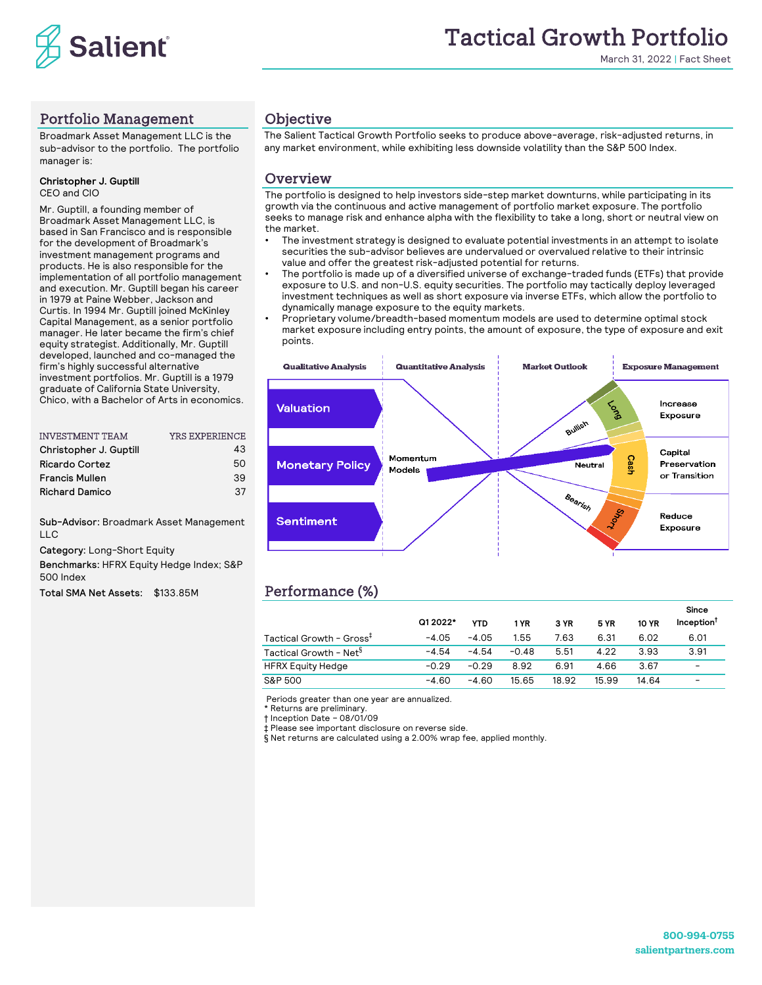

March 31, 2022 | Fact Sheet

## Portfolio Management

Broadmark Asset Management LLC is the sub-advisor to the portfolio. The portfolio manager is:

#### **Christopher J. Guptill** CEO and CIO

Mr. Guptill, a founding member of Broadmark Asset Management LLC, is based in San Francisco and is responsible for the development of Broadmark's investment management programs and products. He is also responsible for the implementation of all portfolio management and execution. Mr. Guptill began his career in 1979 at Paine Webber, Jackson and Curtis. In 1994 Mr. Guptill joined McKinley Capital Management, as a senior portfolio manager. He later became the firm's chief equity strategist. Additionally, Mr. Guptill developed, launched and co-managed the firm's highly successful alternative investment portfolios. Mr. Guptill is a 1979 graduate of California State University, Chico, with a Bachelor of Arts in economics.

| <b>YRS EXPERIENCE</b> |
|-----------------------|
| 43                    |
| 50                    |
| 39                    |
| 37                    |
|                       |

Sub-Advisor: Broadmark Asset Management LLC

Category: Long-Short Equity

Benchmarks: HFRX Equity Hedge Index; S&P 500 Index

Total SMA Net Assets: \$133.85M

### **Objective**

The Salient Tactical Growth Portfolio seeks to produce above-average, risk-adjusted returns, in any market environment, while exhibiting less downside volatility than the S&P 500 Index.

### **Overview**

The portfolio is designed to help investors side-step market downturns, while participating in its growth via the continuous and active management of portfolio market exposure. The portfolio seeks to manage risk and enhance alpha with the flexibility to take a long, short or neutral view on the market.

- The investment strategy is designed to evaluate potential investments in an attempt to isolate securities the sub-advisor believes are undervalued or overvalued relative to their intrinsic value and offer the greatest risk-adjusted potential for returns.
- The portfolio is made up of a diversified universe of exchange-traded funds (ETFs) that provide exposure to U.S. and non-U.S. equity securities. The portfolio may tactically deploy leveraged investment techniques as well as short exposure via inverse ETFs, which allow the portfolio to dynamically manage exposure to the equity markets.
- Proprietary volume/breadth-based momentum models are used to determine optimal stock market exposure including entry points, the amount of exposure, the type of exposure and exit points.



# Performance (%)

|                                      |          |         |         |       |             |              | Since                  |
|--------------------------------------|----------|---------|---------|-------|-------------|--------------|------------------------|
|                                      | Q1 2022* | YTD     | 1 YR    | 3 YR  | <b>5 YR</b> | <b>10 YR</b> | Inception <sup>1</sup> |
| Tactical Growth - Gross <sup>+</sup> | $-4.05$  | $-4.05$ | 1.55    | 7.63  | 6.31        | 6.02         | 6.01                   |
| Tactical Growth - Net <sup>§</sup>   | $-4.54$  | $-4.54$ | $-0.48$ | 5.51  | 4.22        | 3.93         | 3.91                   |
| <b>HFRX Equity Hedge</b>             | $-0.29$  | $-0.29$ | 8.92    | 6.91  | 4.66        | 3.67         | -                      |
| S&P 500                              | $-4.60$  | $-4.60$ | 15.65   | 18.92 | 15.99       | 14.64        | -                      |

Periods greater than one year are annualized.

\* Returns are preliminary.

† Inception Date – 08/01/09

‡ Please see important disclosure on reverse side.

§ Net returns are calculated using a 2.00% wrap fee, applied monthly.